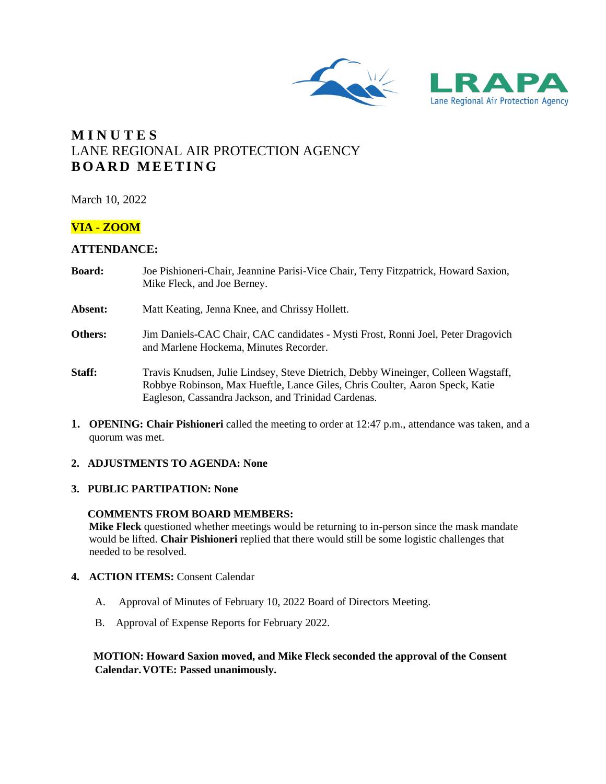



# **M I N U T E S** LANE REGIONAL AIR PROTECTION AGENCY **B O A R D M E E T I N G**

March 10, 2022

## **VIA - ZOOM**

## **ATTENDANCE:**

- **Board:** Joe Pishioneri-Chair, Jeannine Parisi-Vice Chair, Terry Fitzpatrick, Howard Saxion, Mike Fleck, and Joe Berney.
- **Absent:** Matt Keating, Jenna Knee, and Chrissy Hollett.
- **Others:** Jim Daniels-CAC Chair, CAC candidates Mysti Frost, Ronni Joel, Peter Dragovich and Marlene Hockema, Minutes Recorder.
- **Staff:** Travis Knudsen, Julie Lindsey, Steve Dietrich, Debby Wineinger, Colleen Wagstaff, Robbye Robinson, Max Hueftle, Lance Giles, Chris Coulter, Aaron Speck, Katie Eagleson, Cassandra Jackson, and Trinidad Cardenas.
- **1. OPENING: Chair Pishioneri** called the meeting to order at 12:47 p.m., attendance was taken, and a quorum was met.

## **2. ADJUSTMENTS TO AGENDA: None**

## **3. PUBLIC PARTIPATION: None**

#### **COMMENTS FROM BOARD MEMBERS:**

**Mike Fleck** questioned whether meetings would be returning to in-person since the mask mandate would be lifted. **Chair Pishioneri** replied that there would still be some logistic challenges that needed to be resolved.

#### **4. ACTION ITEMS:** Consent Calendar

- A. Approval of Minutes of February 10, 2022 Board of Directors Meeting.
- B. Approval of Expense Reports for February 2022.

## **MOTION: Howard Saxion moved, and Mike Fleck seconded the approval of the Consent Calendar.VOTE: Passed unanimously.**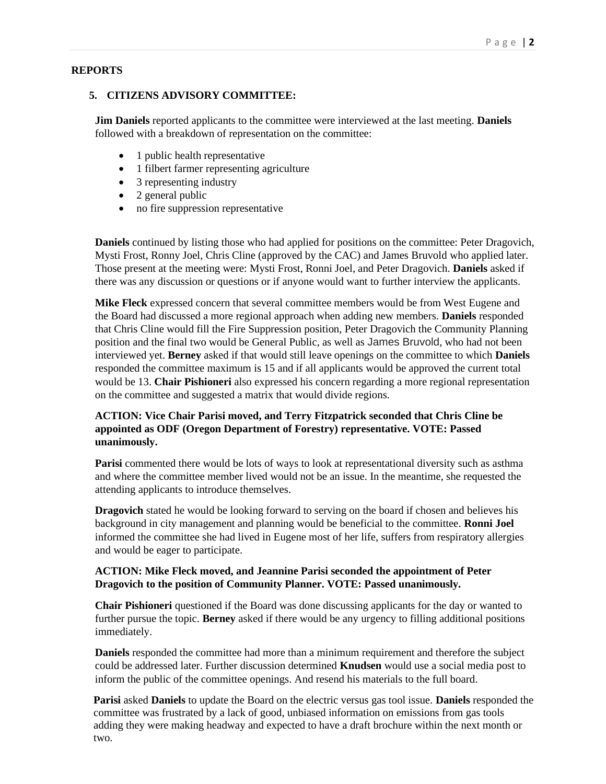## **REPORTS**

## **5. CITIZENS ADVISORY COMMITTEE:**

**Jim Daniels** reported applicants to the committee were interviewed at the last meeting. **Daniels** followed with a breakdown of representation on the committee:

- 1 public health representative
- 1 filbert farmer representing agriculture
- 3 representing industry
- 2 general public
- no fire suppression representative

**Daniels** continued by listing those who had applied for positions on the committee: Peter Dragovich, Mysti Frost, Ronny Joel, Chris Cline (approved by the CAC) and James Bruvold who applied later. Those present at the meeting were: Mysti Frost, Ronni Joel, and Peter Dragovich. **Daniels** asked if there was any discussion or questions or if anyone would want to further interview the applicants.

**Mike Fleck** expressed concern that several committee members would be from West Eugene and the Board had discussed a more regional approach when adding new members. **Daniels** responded that Chris Cline would fill the Fire Suppression position, Peter Dragovich the Community Planning position and the final two would be General Public, as well as James Bruvold, who had not been interviewed yet. **Berney** asked if that would still leave openings on the committee to which **Daniels** responded the committee maximum is 15 and if all applicants would be approved the current total would be 13. **Chair Pishioneri** also expressed his concern regarding a more regional representation on the committee and suggested a matrix that would divide regions.

## **ACTION: Vice Chair Parisi moved, and Terry Fitzpatrick seconded that Chris Cline be appointed as ODF (Oregon Department of Forestry) representative. VOTE: Passed unanimously.**

**Parisi** commented there would be lots of ways to look at representational diversity such as asthma and where the committee member lived would not be an issue. In the meantime, she requested the attending applicants to introduce themselves.

**Dragovich** stated he would be looking forward to serving on the board if chosen and believes his background in city management and planning would be beneficial to the committee. **Ronni Joel**  informed the committee she had lived in Eugene most of her life, suffers from respiratory allergies and would be eager to participate.

## **ACTION: Mike Fleck moved, and Jeannine Parisi seconded the appointment of Peter Dragovich to the position of Community Planner. VOTE: Passed unanimously.**

**Chair Pishioneri** questioned if the Board was done discussing applicants for the day or wanted to further pursue the topic. **Berney** asked if there would be any urgency to filling additional positions immediately.

**Daniels** responded the committee had more than a minimum requirement and therefore the subject could be addressed later. Further discussion determined **Knudsen** would use a social media post to inform the public of the committee openings. And resend his materials to the full board.

**Parisi** asked **Daniels** to update the Board on the electric versus gas tool issue. **Daniels** responded the committee was frustrated by a lack of good, unbiased information on emissions from gas tools adding they were making headway and expected to have a draft brochure within the next month or two.